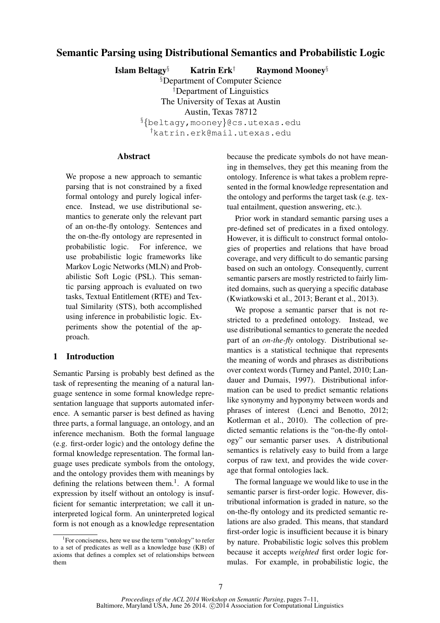# Semantic Parsing using Distributional Semantics and Probabilistic Logic

Islam Beltagy<sup>§</sup> Katrin Erk<sup>†</sup> Raymond Mooney<sup>§</sup>

§Department of Computer Science †Department of Linguistics The University of Texas at Austin Austin, Texas 78712 §{beltagy,mooney}@cs.utexas.edu †katrin.erk@mail.utexas.edu

#### Abstract

We propose a new approach to semantic parsing that is not constrained by a fixed formal ontology and purely logical inference. Instead, we use distributional semantics to generate only the relevant part of an on-the-fly ontology. Sentences and the on-the-fly ontology are represented in probabilistic logic. For inference, we use probabilistic logic frameworks like Markov Logic Networks (MLN) and Probabilistic Soft Logic (PSL). This semantic parsing approach is evaluated on two tasks, Textual Entitlement (RTE) and Textual Similarity (STS), both accomplished using inference in probabilistic logic. Experiments show the potential of the approach.

### 1 Introduction

Semantic Parsing is probably best defined as the task of representing the meaning of a natural language sentence in some formal knowledge representation language that supports automated inference. A semantic parser is best defined as having three parts, a formal language, an ontology, and an inference mechanism. Both the formal language (e.g. first-order logic) and the ontology define the formal knowledge representation. The formal language uses predicate symbols from the ontology, and the ontology provides them with meanings by defining the relations between them.<sup>1</sup>. A formal expression by itself without an ontology is insufficient for semantic interpretation; we call it uninterpreted logical form. An uninterpreted logical form is not enough as a knowledge representation because the predicate symbols do not have meaning in themselves, they get this meaning from the ontology. Inference is what takes a problem represented in the formal knowledge representation and the ontology and performs the target task (e.g. textual entailment, question answering, etc.).

Prior work in standard semantic parsing uses a pre-defined set of predicates in a fixed ontology. However, it is difficult to construct formal ontologies of properties and relations that have broad coverage, and very difficult to do semantic parsing based on such an ontology. Consequently, current semantic parsers are mostly restricted to fairly limited domains, such as querying a specific database (Kwiatkowski et al., 2013; Berant et al., 2013).

We propose a semantic parser that is not restricted to a predefined ontology. Instead, we use distributional semantics to generate the needed part of an *on-the-fly* ontology. Distributional semantics is a statistical technique that represents the meaning of words and phrases as distributions over context words (Turney and Pantel, 2010; Landauer and Dumais, 1997). Distributional information can be used to predict semantic relations like synonymy and hyponymy between words and phrases of interest (Lenci and Benotto, 2012; Kotlerman et al., 2010). The collection of predicted semantic relations is the "on-the-fly ontology" our semantic parser uses. A distributional semantics is relatively easy to build from a large corpus of raw text, and provides the wide coverage that formal ontologies lack.

The formal language we would like to use in the semantic parser is first-order logic. However, distributional information is graded in nature, so the on-the-fly ontology and its predicted semantic relations are also graded. This means, that standard first-order logic is insufficient because it is binary by nature. Probabilistic logic solves this problem because it accepts *weighted* first order logic formulas. For example, in probabilistic logic, the

<sup>&</sup>lt;sup>1</sup>For conciseness, here we use the term "ontology" to refer to a set of predicates as well as a knowledge base (KB) of axioms that defines a complex set of relationships between them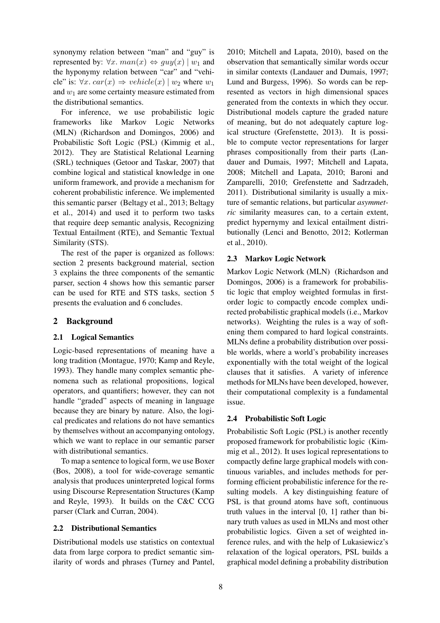synonymy relation between "man" and "guy" is represented by:  $\forall x. man(x) \Leftrightarrow quy(x) | w_1$  and the hyponymy relation between "car" and "vehicle" is:  $\forall x. \, car(x) \Rightarrow vehicle(x) \mid w_2$  where  $w_1$ and  $w_1$  are some certainty measure estimated from the distributional semantics.

For inference, we use probabilistic logic frameworks like Markov Logic Networks (MLN) (Richardson and Domingos, 2006) and Probabilistic Soft Logic (PSL) (Kimmig et al., 2012). They are Statistical Relational Learning (SRL) techniques (Getoor and Taskar, 2007) that combine logical and statistical knowledge in one uniform framework, and provide a mechanism for coherent probabilistic inference. We implemented this semantic parser (Beltagy et al., 2013; Beltagy et al., 2014) and used it to perform two tasks that require deep semantic analysis, Recognizing Textual Entailment (RTE), and Semantic Textual Similarity (STS).

The rest of the paper is organized as follows: section 2 presents background material, section 3 explains the three components of the semantic parser, section 4 shows how this semantic parser can be used for RTE and STS tasks, section 5 presents the evaluation and 6 concludes.

### 2 Background

#### 2.1 Logical Semantics

Logic-based representations of meaning have a long tradition (Montague, 1970; Kamp and Reyle, 1993). They handle many complex semantic phenomena such as relational propositions, logical operators, and quantifiers; however, they can not handle "graded" aspects of meaning in language because they are binary by nature. Also, the logical predicates and relations do not have semantics by themselves without an accompanying ontology, which we want to replace in our semantic parser with distributional semantics.

To map a sentence to logical form, we use Boxer (Bos, 2008), a tool for wide-coverage semantic analysis that produces uninterpreted logical forms using Discourse Representation Structures (Kamp and Reyle, 1993). It builds on the C&C CCG parser (Clark and Curran, 2004).

#### 2.2 Distributional Semantics

Distributional models use statistics on contextual data from large corpora to predict semantic similarity of words and phrases (Turney and Pantel, 2010; Mitchell and Lapata, 2010), based on the observation that semantically similar words occur in similar contexts (Landauer and Dumais, 1997; Lund and Burgess, 1996). So words can be represented as vectors in high dimensional spaces generated from the contexts in which they occur. Distributional models capture the graded nature of meaning, but do not adequately capture logical structure (Grefenstette, 2013). It is possible to compute vector representations for larger phrases compositionally from their parts (Landauer and Dumais, 1997; Mitchell and Lapata, 2008; Mitchell and Lapata, 2010; Baroni and Zamparelli, 2010; Grefenstette and Sadrzadeh, 2011). Distributional similarity is usually a mixture of semantic relations, but particular *asymmetric* similarity measures can, to a certain extent, predict hypernymy and lexical entailment distributionally (Lenci and Benotto, 2012; Kotlerman et al., 2010).

#### 2.3 Markov Logic Network

Markov Logic Network (MLN) (Richardson and Domingos, 2006) is a framework for probabilistic logic that employ weighted formulas in firstorder logic to compactly encode complex undirected probabilistic graphical models (i.e., Markov networks). Weighting the rules is a way of softening them compared to hard logical constraints. MLNs define a probability distribution over possible worlds, where a world's probability increases exponentially with the total weight of the logical clauses that it satisfies. A variety of inference methods for MLNs have been developed, however, their computational complexity is a fundamental issue.

#### 2.4 Probabilistic Soft Logic

Probabilistic Soft Logic (PSL) is another recently proposed framework for probabilistic logic (Kimmig et al., 2012). It uses logical representations to compactly define large graphical models with continuous variables, and includes methods for performing efficient probabilistic inference for the resulting models. A key distinguishing feature of PSL is that ground atoms have soft, continuous truth values in the interval [0, 1] rather than binary truth values as used in MLNs and most other probabilistic logics. Given a set of weighted inference rules, and with the help of Lukasiewicz's relaxation of the logical operators, PSL builds a graphical model defining a probability distribution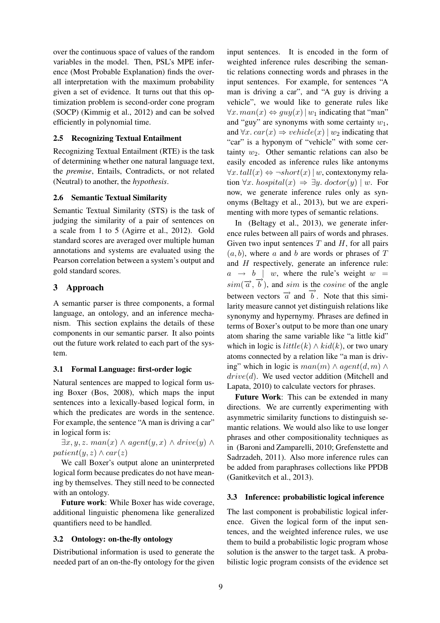over the continuous space of values of the random variables in the model. Then, PSL's MPE inference (Most Probable Explanation) finds the overall interpretation with the maximum probability given a set of evidence. It turns out that this optimization problem is second-order cone program (SOCP) (Kimmig et al., 2012) and can be solved efficiently in polynomial time.

#### 2.5 Recognizing Textual Entailment

Recognizing Textual Entailment (RTE) is the task of determining whether one natural language text, the *premise*, Entails, Contradicts, or not related (Neutral) to another, the *hypothesis*.

#### 2.6 Semantic Textual Similarity

Semantic Textual Similarity (STS) is the task of judging the similarity of a pair of sentences on a scale from 1 to 5 (Agirre et al., 2012). Gold standard scores are averaged over multiple human annotations and systems are evaluated using the Pearson correlation between a system's output and gold standard scores.

### 3 Approach

A semantic parser is three components, a formal language, an ontology, and an inference mechanism. This section explains the details of these components in our semantic parser. It also points out the future work related to each part of the system.

#### 3.1 Formal Language: first-order logic

Natural sentences are mapped to logical form using Boxer (Bos, 2008), which maps the input sentences into a lexically-based logical form, in which the predicates are words in the sentence. For example, the sentence "A man is driving a car" in logical form is:

 $\exists x, y, z. \; man(x) \land agent(y, x) \land drive(y) \land$  $patient(y, z) \wedge car(z)$ 

We call Boxer's output alone an uninterpreted logical form because predicates do not have meaning by themselves. They still need to be connected with an ontology.

Future work: While Boxer has wide coverage, additional linguistic phenomena like generalized quantifiers need to be handled.

#### 3.2 Ontology: on-the-fly ontology

Distributional information is used to generate the needed part of an on-the-fly ontology for the given

input sentences. It is encoded in the form of weighted inference rules describing the semantic relations connecting words and phrases in the input sentences. For example, for sentences "A man is driving a car", and "A guy is driving a vehicle", we would like to generate rules like  $\forall x. \, man(x) \Leftrightarrow quy(x) \, | \, w_1$  indicating that "man" and "guy" are synonyms with some certainty  $w_1$ , and  $\forall x. \text{car}(x) \Rightarrow \text{vehicle}(x) \mid w_2 \text{ indicating that}$ "car" is a hyponym of "vehicle" with some certainty  $w_2$ . Other semantic relations can also be easily encoded as inference rules like antonyms  $\forall x. \, tall(x) \Leftrightarrow \neg short(x) \,|\, w$ , contextonymy relation  $\forall x.$  hospital(x)  $\Rightarrow \exists y.$  doctor(y) | w. For now, we generate inference rules only as synonyms (Beltagy et al., 2013), but we are experimenting with more types of semantic relations.

In (Beltagy et al., 2013), we generate inference rules between all pairs of words and phrases. Given two input sentences  $T$  and  $H$ , for all pairs  $(a, b)$ , where a and b are words or phrases of T and H respectively, generate an inference rule:  $a \rightarrow b \mid w$ , where the rule's weight  $w =$  $\lim_{\alpha \to 0} (\vec{a}, \vec{b})$ , and sim is the *cosine* of the angle between vectors  $\vec{a}$  and  $\vec{b}$ . Note that this similarity measure cannot yet distinguish relations like synonymy and hypernymy. Phrases are defined in terms of Boxer's output to be more than one unary atom sharing the same variable like "a little kid" which in logic is  $little(k) \wedge kid(k)$ , or two unary atoms connected by a relation like "a man is driving" which in logic is  $man(m) \wedge agent(d, m) \wedge$  $drive(d)$ . We used vector addition (Mitchell and Lapata, 2010) to calculate vectors for phrases.

Future Work: This can be extended in many directions. We are currently experimenting with asymmetric similarity functions to distinguish semantic relations. We would also like to use longer phrases and other compositionality techniques as in (Baroni and Zamparelli, 2010; Grefenstette and Sadrzadeh, 2011). Also more inference rules can be added from paraphrases collections like PPDB (Ganitkevitch et al., 2013).

#### 3.3 Inference: probabilistic logical inference

The last component is probabilistic logical inference. Given the logical form of the input sentences, and the weighted inference rules, we use them to build a probabilistic logic program whose solution is the answer to the target task. A probabilistic logic program consists of the evidence set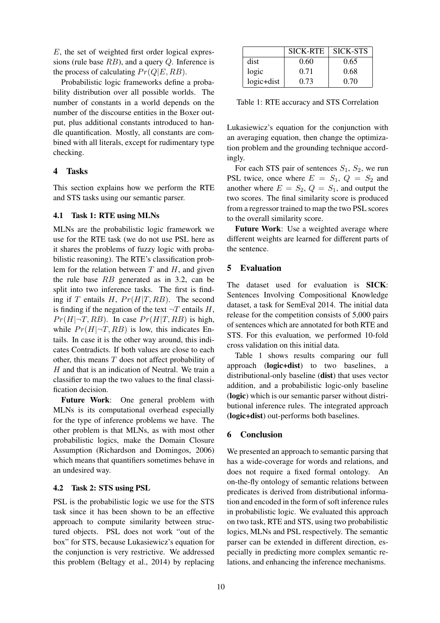E, the set of weighted first order logical expressions (rule base  $RB$ ), and a query  $Q$ . Inference is the process of calculating  $Pr(Q|E, RB)$ .

Probabilistic logic frameworks define a probability distribution over all possible worlds. The number of constants in a world depends on the number of the discourse entities in the Boxer output, plus additional constants introduced to handle quantification. Mostly, all constants are combined with all literals, except for rudimentary type checking.

# 4 Tasks

This section explains how we perform the RTE and STS tasks using our semantic parser.

### 4.1 Task 1: RTE using MLNs

MLNs are the probabilistic logic framework we use for the RTE task (we do not use PSL here as it shares the problems of fuzzy logic with probabilistic reasoning). The RTE's classification problem for the relation between  $T$  and  $H$ , and given the rule base RB generated as in 3.2, can be split into two inference tasks. The first is finding if T entails H,  $Pr(H|T, RB)$ . The second is finding if the negation of the text  $\neg T$  entails H,  $Pr(H|\neg T, RB)$ . In case  $Pr(H|T, RB)$  is high, while  $Pr(H|\neg T, RB)$  is low, this indicates Entails. In case it is the other way around, this indicates Contradicts. If both values are close to each other, this means  $T$  does not affect probability of  $H$  and that is an indication of Neutral. We train a classifier to map the two values to the final classification decision.

Future Work: One general problem with MLNs is its computational overhead especially for the type of inference problems we have. The other problem is that MLNs, as with most other probabilistic logics, make the Domain Closure Assumption (Richardson and Domingos, 2006) which means that quantifiers sometimes behave in an undesired way.

### 4.2 Task 2: STS using PSL

PSL is the probabilistic logic we use for the STS task since it has been shown to be an effective approach to compute similarity between structured objects. PSL does not work "out of the box" for STS, because Lukasiewicz's equation for the conjunction is very restrictive. We addressed this problem (Beltagy et al., 2014) by replacing

|            | <b>SICK-RTE</b> | <b>SICK-STS</b> |
|------------|-----------------|-----------------|
| dist       | 0.60            | 0.65            |
| logic      | 0.71            | 0.68            |
| logic+dist | 0.73            | 0.70            |

Table 1: RTE accuracy and STS Correlation

Lukasiewicz's equation for the conjunction with an averaging equation, then change the optimization problem and the grounding technique accordingly.

For each STS pair of sentences  $S_1$ ,  $S_2$ , we run PSL twice, once where  $E = S_1$ ,  $Q = S_2$  and another where  $E = S_2$ ,  $Q = S_1$ , and output the two scores. The final similarity score is produced from a regressor trained to map the two PSL scores to the overall similarity score.

Future Work: Use a weighted average where different weights are learned for different parts of the sentence.

# 5 Evaluation

The dataset used for evaluation is SICK: Sentences Involving Compositional Knowledge dataset, a task for SemEval 2014. The initial data release for the competition consists of 5,000 pairs of sentences which are annotated for both RTE and STS. For this evaluation, we performed 10-fold cross validation on this initial data.

Table 1 shows results comparing our full approach (logic+dist) to two baselines, distributional-only baseline (dist) that uses vector addition, and a probabilistic logic-only baseline (logic) which is our semantic parser without distributional inference rules. The integrated approach (logic+dist) out-performs both baselines.

### 6 Conclusion

We presented an approach to semantic parsing that has a wide-coverage for words and relations, and does not require a fixed formal ontology. An on-the-fly ontology of semantic relations between predicates is derived from distributional information and encoded in the form of soft inference rules in probabilistic logic. We evaluated this approach on two task, RTE and STS, using two probabilistic logics, MLNs and PSL respectively. The semantic parser can be extended in different direction, especially in predicting more complex semantic relations, and enhancing the inference mechanisms.